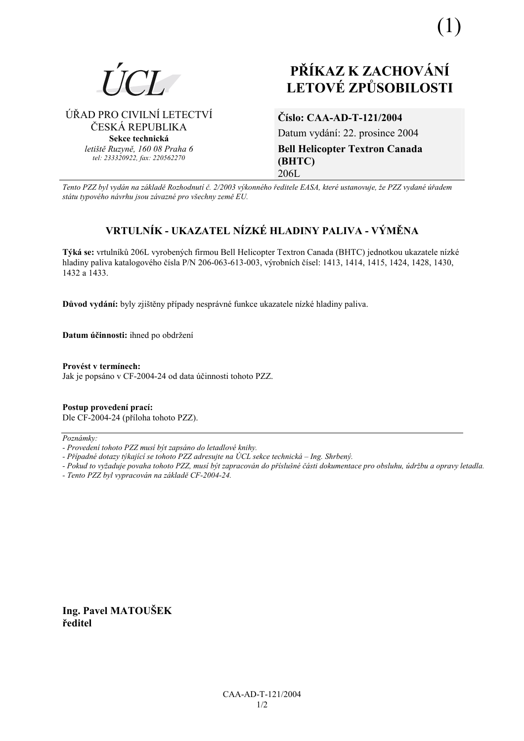

# PŘÍKAZ K ZACHOVÁNÍ **LETOVÉ ZPŮSOBILOSTI**

ÚŘAD PRO CIVILNÍ LETECTVÍ ČESKÁ REPUBLIKA Sekce technická letiště Ruzyně, 160 08 Praha 6 tel: 233320922, fax: 220562270

### Číslo: CAA-AD-T-121/2004

Datum vydání: 22. prosince 2004 **Bell Helicopter Textron Canada** (BHTC) 206L

Tento PZZ byl vydán na základě Rozhodnutí č. 2/2003 výkonného ředitele EASA, které ustanovuje, že PZZ vydané úřadem státu typového návrhu jsou závazné pro všechny země EU.

## VRTULNÍK - UKAZATEL NÍZKÉ HLADINY PALIVA - VÝMĚNA

Týká se: vrtulníků 206L vyrobených firmou Bell Helicopter Textron Canada (BHTC) jednotkou ukazatele nízké hladiny paliva katalogového čísla P/N 206-063-613-003, výrobních čísel: 1413, 1414, 1415, 1424, 1428, 1430, 1432 a 1433.

Důvod vydání: byly zijštěny případy nesprávné funkce ukazatele nízké hladiny paliva.

Datum účinnosti: ihned po obdržení

Provést v termínech: Jak je popsáno v CF-2004-24 od data účinnosti tohoto PZZ.

Postup provedení prací: Dle CF-2004-24 (příloha tohoto PZZ).

Poznámky:

- Případné dotazy týkající se tohoto PZZ adresujte na ÚCL sekce technická Ing. Shrbený.
- Pokud to vyžaduje povaha tohoto PZZ, musí být zapracován do příslušné části dokumentace pro obsluhu, údržbu a opravy letadla.
- Tento PZZ byl vypracován na základě CF-2004-24.

Ing. Pavel MATOUŠEK ředitel

<sup>-</sup> Provedení tohoto PZZ musí být zapsáno do letadlové knihy.